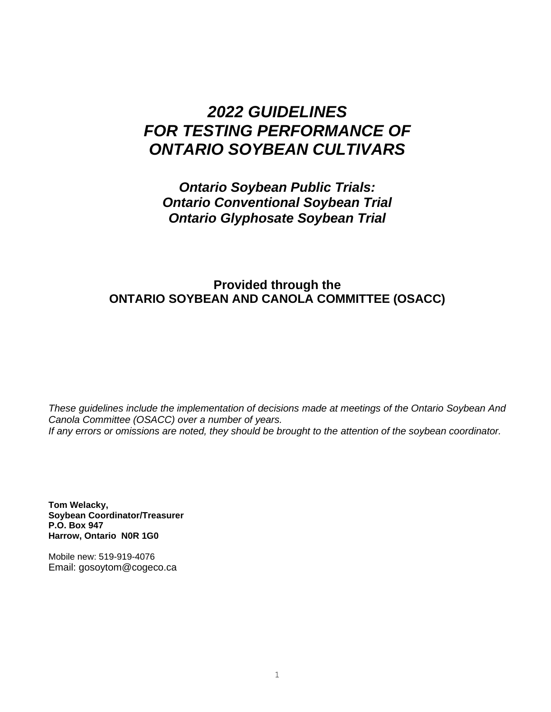# *2022 GUIDELINES FOR TESTING PERFORMANCE OF ONTARIO SOYBEAN CULTIVARS*

*Ontario Soybean Public Trials: Ontario Conventional Soybean Trial Ontario Glyphosate Soybean Trial*

# **Provided through the ONTARIO SOYBEAN AND CANOLA COMMITTEE (OSACC)**

*These guidelines include the implementation of decisions made at meetings of the Ontario Soybean And Canola Committee (OSACC) over a number of years. If any errors or omissions are noted, they should be brought to the attention of the soybean coordinator.*

**Tom Welacky, Soybean Coordinator/Treasurer P.O. Box 947 Harrow, Ontario N0R 1G0**

Mobile new: 519-919-4076 Email: gosoytom@cogeco.ca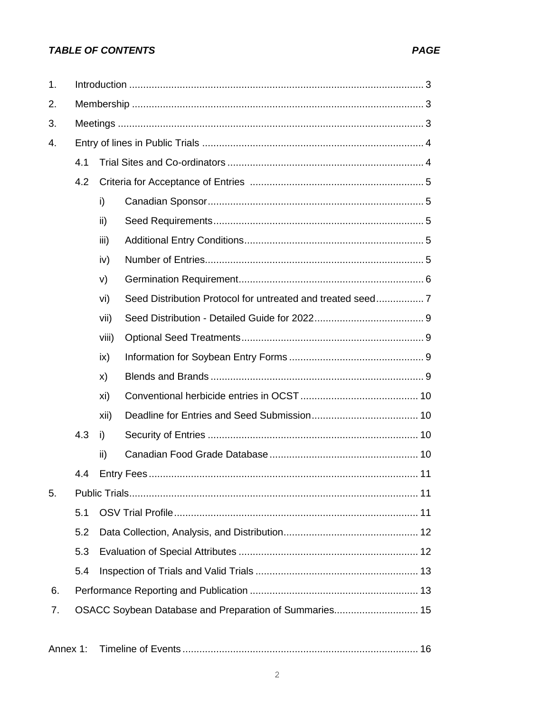# **TABLE OF CONTENTS**

| 1. |                                                        |       |  |  |  |  |
|----|--------------------------------------------------------|-------|--|--|--|--|
| 2. |                                                        |       |  |  |  |  |
| 3. |                                                        |       |  |  |  |  |
| 4. |                                                        |       |  |  |  |  |
|    | 4.1                                                    |       |  |  |  |  |
|    | 4.2                                                    |       |  |  |  |  |
|    |                                                        | i)    |  |  |  |  |
|    |                                                        | ii)   |  |  |  |  |
|    |                                                        | iii)  |  |  |  |  |
|    |                                                        | iv)   |  |  |  |  |
|    |                                                        | V)    |  |  |  |  |
|    |                                                        | vi)   |  |  |  |  |
|    |                                                        | vii)  |  |  |  |  |
|    |                                                        | viii) |  |  |  |  |
|    |                                                        | ix)   |  |  |  |  |
|    |                                                        | X)    |  |  |  |  |
|    |                                                        | xi)   |  |  |  |  |
|    |                                                        | xii)  |  |  |  |  |
|    | 4.3                                                    | i)    |  |  |  |  |
|    |                                                        | ii)   |  |  |  |  |
|    | 4.4                                                    |       |  |  |  |  |
| 5. |                                                        |       |  |  |  |  |
|    | 5.1                                                    |       |  |  |  |  |
|    | 5.2                                                    |       |  |  |  |  |
|    | 5.3                                                    |       |  |  |  |  |
|    | 5.4                                                    |       |  |  |  |  |
| 6. |                                                        |       |  |  |  |  |
| 7. | OSACC Soybean Database and Preparation of Summaries 15 |       |  |  |  |  |
|    |                                                        |       |  |  |  |  |

| Annex 1: |  |  |
|----------|--|--|
|----------|--|--|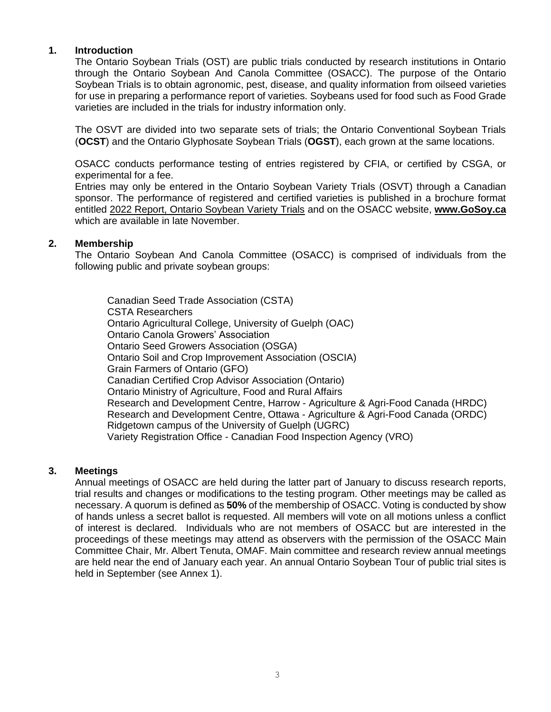## **1. Introduction**

The Ontario Soybean Trials (OST) are public trials conducted by research institutions in Ontario through the Ontario Soybean And Canola Committee (OSACC). The purpose of the Ontario Soybean Trials is to obtain agronomic, pest, disease, and quality information from oilseed varieties for use in preparing a performance report of varieties. Soybeans used for food such as Food Grade varieties are included in the trials for industry information only.

The OSVT are divided into two separate sets of trials; the Ontario Conventional Soybean Trials (**OCST**) and the Ontario Glyphosate Soybean Trials (**OGST**), each grown at the same locations.

OSACC conducts performance testing of entries registered by CFIA, or certified by CSGA, or experimental for a fee.

Entries may only be entered in the Ontario Soybean Variety Trials (OSVT) through a Canadian sponsor. The performance of registered and certified varieties is published in a brochure format entitled 2022 Report, Ontario Soybean Variety Trials and on the OSACC website, **www.GoSoy.ca** which are available in late November.

### **2. Membership**

The Ontario Soybean And Canola Committee (OSACC) is comprised of individuals from the following public and private soybean groups:

Canadian Seed Trade Association (CSTA) CSTA Researchers Ontario Agricultural College, University of Guelph (OAC) Ontario Canola Growers' Association Ontario Seed Growers Association (OSGA) Ontario Soil and Crop Improvement Association (OSCIA) Grain Farmers of Ontario (GFO) Canadian Certified Crop Advisor Association (Ontario) Ontario Ministry of Agriculture, Food and Rural Affairs Research and Development Centre, Harrow - Agriculture & Agri-Food Canada (HRDC) Research and Development Centre, Ottawa - Agriculture & Agri-Food Canada (ORDC) Ridgetown campus of the University of Guelph (UGRC) Variety Registration Office - Canadian Food Inspection Agency (VRO)

### **3. Meetings**

Annual meetings of OSACC are held during the latter part of January to discuss research reports, trial results and changes or modifications to the testing program. Other meetings may be called as necessary. A quorum is defined as **50%** of the membership of OSACC. Voting is conducted by show of hands unless a secret ballot is requested. All members will vote on all motions unless a conflict of interest is declared. Individuals who are not members of OSACC but are interested in the proceedings of these meetings may attend as observers with the permission of the OSACC Main Committee Chair, Mr. Albert Tenuta, OMAF. Main committee and research review annual meetings are held near the end of January each year. An annual Ontario Soybean Tour of public trial sites is held in September (see Annex 1).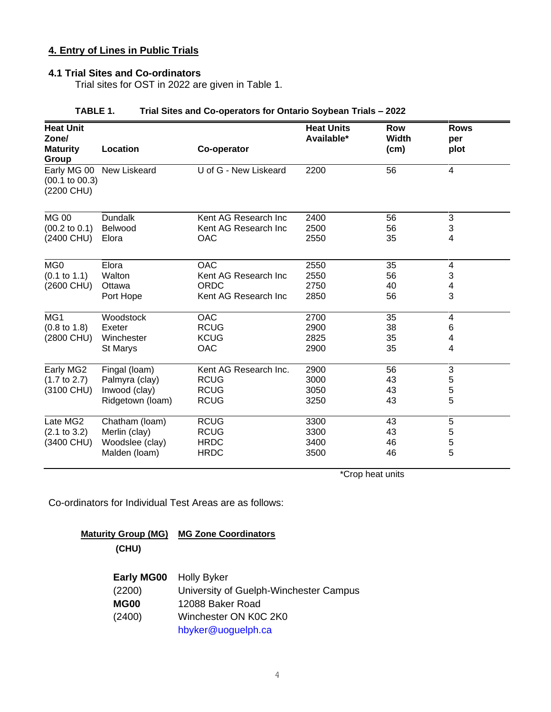# **4. Entry of Lines in Public Trials**

### **4.1 Trial Sites and Co-ordinators**

Trial sites for OST in 2022 are given in Table 1.

| <b>Heat Unit</b>                        |                          |                       | <b>Heat Units</b> | <b>Row</b>    | <b>Rows</b>             |  |
|-----------------------------------------|--------------------------|-----------------------|-------------------|---------------|-------------------------|--|
| Zone/<br><b>Maturity</b><br>Group       | Location                 | Co-operator           | Available*        | Width<br>(cm) | per<br>plot             |  |
| $(00.1 \text{ to } 00.3)$<br>(2200 CHU) | Early MG 00 New Liskeard | U of G - New Liskeard | 2200              | 56            | $\overline{\mathbf{4}}$ |  |
| <b>MG 00</b>                            | <b>Dundalk</b>           | Kent AG Research Inc  | 2400              | 56            | 3                       |  |
| $(00.2 \text{ to } 0.1)$                | Belwood                  | Kent AG Research Inc  | 2500              | 56            | 3                       |  |
| (2400 CHU)                              | Elora                    | <b>OAC</b>            | 2550              | 35            | 4                       |  |
| MG <sub>0</sub>                         | Elora                    | <b>OAC</b>            | 2550              | 35            | 4                       |  |
| (0.1 to 1.1)                            | Walton                   | Kent AG Research Inc  | 2550              | 56            | 3                       |  |
| (2600 CHU)                              | Ottawa                   | ORDC                  | 2750              | 40            | 4                       |  |
|                                         | Port Hope                | Kent AG Research Inc  | 2850              | 56            | 3                       |  |
| MG1                                     | Woodstock                | <b>OAC</b>            | 2700              | 35            | 4                       |  |
| $(0.8 \text{ to } 1.8)$                 | Exeter                   | <b>RCUG</b>           | 2900              | 38            | 6                       |  |
| (2800 CHU)                              | Winchester               | <b>KCUG</b>           | 2825              | 35            | 4                       |  |
|                                         | <b>St Marys</b>          | <b>OAC</b>            | 2900              | 35            | 4                       |  |
| Early MG2                               | Fingal (loam)            | Kent AG Research Inc. | 2900              | 56            | 3                       |  |
| $(1.7 \text{ to } 2.7)$                 | Palmyra (clay)           | <b>RCUG</b>           | 3000              | 43            | 5                       |  |
| (3100 CHU)                              | Inwood (clay)            | <b>RCUG</b>           | 3050              | 43            | 5                       |  |
|                                         | Ridgetown (loam)         | <b>RCUG</b>           | 3250              | 43            | 5                       |  |
| Late MG2                                | Chatham (loam)           | <b>RCUG</b>           | 3300              | 43            | 5                       |  |
| (2.1 to 3.2)                            | Merlin (clay)            | <b>RCUG</b>           | 3300              | 43            | 5                       |  |
| (3400 CHU)                              | Woodslee (clay)          | <b>HRDC</b>           | 3400              | 46            | 5                       |  |
|                                         | Malden (loam)            | <b>HRDC</b>           | 3500              | 46            | 5                       |  |

### **TABLE 1. Trial Sites and Co-operators for Ontario Soybean Trials – 2022**

\*Crop heat units

Co-ordinators for Individual Test Areas are as follows:

**Maturity Group (MG) MG Zone Coordinators (CHU)**

| Early MG00 Holly Byker |                                        |
|------------------------|----------------------------------------|
| (2200)                 | University of Guelph-Winchester Campus |
| <b>MG00</b>            | 12088 Baker Road                       |
| (2400)                 | Winchester ON K0C 2K0                  |
|                        | hbyker@uoguelph.ca                     |
|                        |                                        |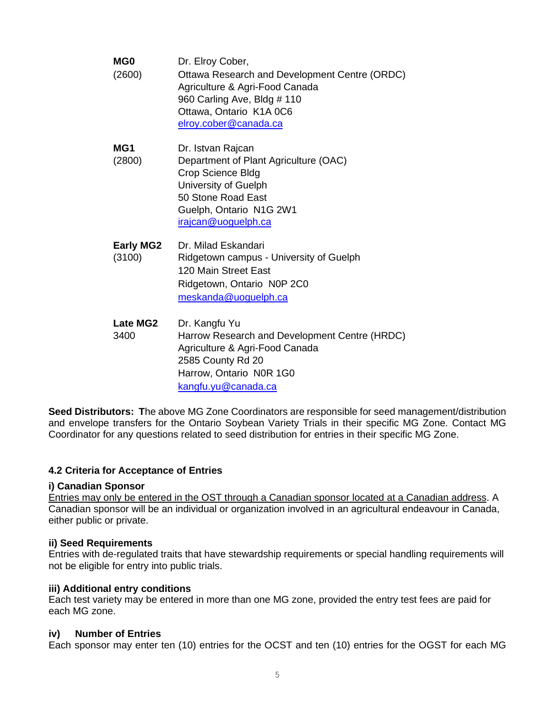| MG <sub>0</sub><br>(2600)  | Dr. Elroy Cober,<br>Ottawa Research and Development Centre (ORDC)<br>Agriculture & Agri-Food Canada<br>960 Carling Ave, Bldg # 110<br>Ottawa, Ontario K1A 0C6<br>elroy.cober@canada.ca |
|----------------------------|----------------------------------------------------------------------------------------------------------------------------------------------------------------------------------------|
| MG1<br>(2800)              | Dr. Istvan Rajcan<br>Department of Plant Agriculture (OAC)<br>Crop Science Bldg<br>University of Guelph<br>50 Stone Road East<br>Guelph, Ontario N1G 2W1<br>irajcan@uoguelph.ca        |
| <b>Early MG2</b><br>(3100) | Dr. Milad Eskandari<br>Ridgetown campus - University of Guelph<br>120 Main Street East<br>Ridgetown, Ontario N0P 2C0<br>meskanda@uoguelph.ca                                           |
| Late MG2<br>3400           | Dr. Kangfu Yu<br>Harrow Research and Development Centre (HRDC)<br>Agriculture & Agri-Food Canada<br>2585 County Rd 20<br>Harrow, Ontario N0R 1G0<br>kangfu.yu@canada.ca                |

**Seed Distributors: T**he above MG Zone Coordinators are responsible for seed management/distribution and envelope transfers for the Ontario Soybean Variety Trials in their specific MG Zone. Contact MG Coordinator for any questions related to seed distribution for entries in their specific MG Zone.

### **4.2 Criteria for Acceptance of Entries**

### **i) Canadian Sponsor**

Entries may only be entered in the OST through a Canadian sponsor located at a Canadian address. A Canadian sponsor will be an individual or organization involved in an agricultural endeavour in Canada, either public or private.

### **ii) Seed Requirements**

Entries with de-regulated traits that have stewardship requirements or special handling requirements will not be eligible for entry into public trials.

### **iii) Additional entry conditions**

Each test variety may be entered in more than one MG zone, provided the entry test fees are paid for each MG zone.

### **iv) Number of Entries**

Each sponsor may enter ten (10) entries for the OCST and ten (10) entries for the OGST for each MG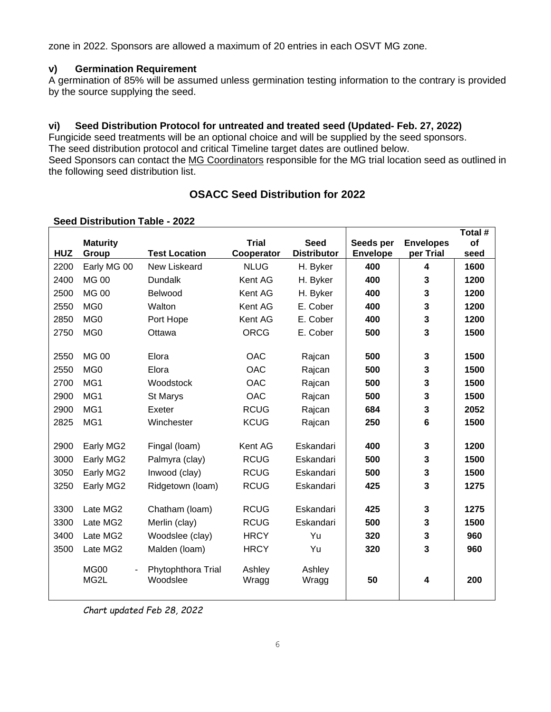zone in 2022. Sponsors are allowed a maximum of 20 entries in each OSVT MG zone.

# **v) Germination Requirement**

A germination of 85% will be assumed unless germination testing information to the contrary is provided by the source supplying the seed.

# **vi) Seed Distribution Protocol for untreated and treated seed (Updated- Feb. 27, 2022)**

Fungicide seed treatments will be an optional choice and will be supplied by the seed sponsors. The seed distribution protocol and critical Timeline target dates are outlined below. Seed Sponsors can contact the MG Coordinators responsible for the MG trial location seed as outlined in the following seed distribution list.

# **OSACC Seed Distribution for 2022**

### **Seed Distribution Table - 2022**

|            |                                         |                      |              |                    |                 |                         | Total # |
|------------|-----------------------------------------|----------------------|--------------|--------------------|-----------------|-------------------------|---------|
|            | <b>Maturity</b>                         |                      | <b>Trial</b> | <b>Seed</b>        | Seeds per       | <b>Envelopes</b>        | of      |
| <b>HUZ</b> | Group                                   | <b>Test Location</b> | Cooperator   | <b>Distributor</b> | <b>Envelope</b> | per Trial               | seed    |
| 2200       | Early MG 00                             | New Liskeard         | <b>NLUG</b>  | H. Byker           | 400             | $\overline{\mathbf{4}}$ | 1600    |
| 2400       | <b>MG 00</b>                            | <b>Dundalk</b>       | Kent AG      | H. Byker           | 400             | $\overline{\mathbf{3}}$ | 1200    |
| 2500       | <b>MG 00</b>                            | Belwood              | Kent AG      | H. Byker           | 400             | 3                       | 1200    |
| 2550       | MG <sub>0</sub>                         | Walton               | Kent AG      | E. Cober           | 400             | $\mathbf{3}$            | 1200    |
| 2850       | MG <sub>0</sub>                         | Port Hope            | Kent AG      | E. Cober           | 400             | $\mathbf{3}$            | 1200    |
| 2750       | MG <sub>0</sub>                         | Ottawa               | <b>ORCG</b>  | E. Cober           | 500             | 3                       | 1500    |
|            |                                         |                      |              |                    |                 |                         |         |
| 2550       | <b>MG 00</b>                            | Elora                | <b>OAC</b>   | Rajcan             | 500             | $\mathbf{3}$            | 1500    |
| 2550       | MG <sub>0</sub>                         | Elora                | <b>OAC</b>   | Rajcan             | 500             | 3                       | 1500    |
| 2700       | MG1                                     | Woodstock            | <b>OAC</b>   | Rajcan             | 500             | $\mathbf{3}$            | 1500    |
| 2900       | MG1                                     | St Marys             | OAC          | Rajcan             | 500             | $\mathbf{3}$            | 1500    |
| 2900       | MG1                                     | Exeter               | <b>RCUG</b>  | Rajcan             | 684             | 3                       | 2052    |
| 2825       | MG1                                     | Winchester           | <b>KCUG</b>  | Rajcan             | 250             | $6\phantom{1}$          | 1500    |
|            |                                         |                      |              |                    |                 |                         |         |
| 2900       | Early MG2                               | Fingal (loam)        | Kent AG      | Eskandari          | 400             | $\mathbf{3}$            | 1200    |
| 3000       | Early MG2                               | Palmyra (clay)       | <b>RCUG</b>  | Eskandari          | 500             | $\mathbf{3}$            | 1500    |
| 3050       | Early MG2                               | Inwood (clay)        | <b>RCUG</b>  | Eskandari          | 500             | $\mathbf{3}$            | 1500    |
| 3250       | Early MG2                               | Ridgetown (loam)     | <b>RCUG</b>  | Eskandari          | 425             | 3                       | 1275    |
|            |                                         |                      |              |                    |                 |                         |         |
| 3300       | Late MG2                                | Chatham (loam)       | <b>RCUG</b>  | Eskandari          | 425             | $\mathbf{3}$            | 1275    |
| 3300       | Late MG2                                | Merlin (clay)        | <b>RCUG</b>  | Eskandari          | 500             | 3                       | 1500    |
| 3400       | Late MG2                                | Woodslee (clay)      | <b>HRCY</b>  | Yu                 | 320             | 3                       | 960     |
| 3500       | Late MG2                                | Malden (loam)        | <b>HRCY</b>  | Yu                 | 320             | $\overline{\mathbf{3}}$ | 960     |
|            | <b>MG00</b><br>$\overline{\phantom{a}}$ | Phytophthora Trial   | Ashley       | Ashley             |                 |                         |         |
|            | MG2L                                    | Woodslee             | Wragg        | Wragg              | 50              | $\overline{\mathbf{4}}$ | 200     |
|            |                                         |                      |              |                    |                 |                         |         |
|            |                                         |                      |              |                    |                 |                         |         |

*Chart updated Feb 28, 2022*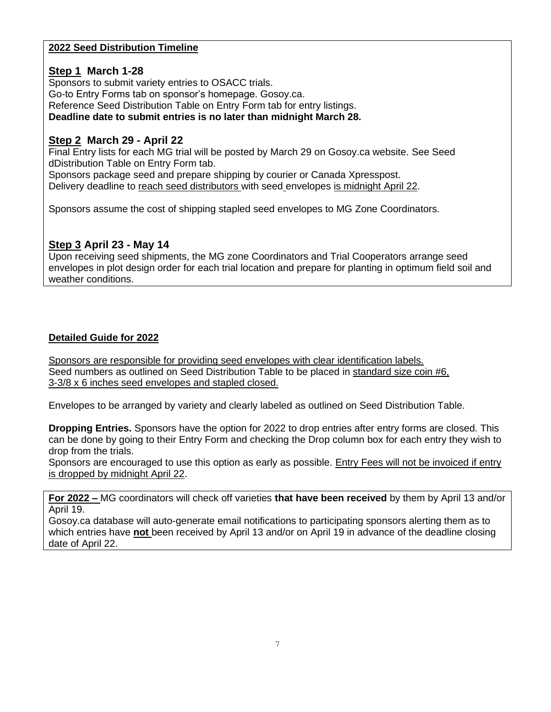# **2022 Seed Distribution Timeline**

# **Step 1 March 1-28**

Sponsors to submit variety entries to OSACC trials. Go-to Entry Forms tab on sponsor's homepage. Gosoy.ca. Reference Seed Distribution Table on Entry Form tab for entry listings. **Deadline date to submit entries is no later than midnight March 28.**

# **Step 2 March 29 - April 22**

Final Entry lists for each MG trial will be posted by March 29 on Gosoy.ca website. See Seed dDistribution Table on Entry Form tab. Sponsors package seed and prepare shipping by courier or Canada Xpresspost.

Delivery deadline to reach seed distributors with seed envelopes is midnight April 22.

Sponsors assume the cost of shipping stapled seed envelopes to MG Zone Coordinators.

# **Step 3 April 23 - May 14**

Upon receiving seed shipments, the MG zone Coordinators and Trial Cooperators arrange seed envelopes in plot design order for each trial location and prepare for planting in optimum field soil and weather conditions.

# **Detailed Guide for 2022**

Sponsors are responsible for providing seed envelopes with clear identification labels. Seed numbers as outlined on Seed Distribution Table to be placed in standard size coin #6, 3-3/8 x 6 inches seed envelopes and stapled closed.

Envelopes to be arranged by variety and clearly labeled as outlined on Seed Distribution Table.

**Dropping Entries.** Sponsors have the option for 2022 to drop entries after entry forms are closed. This can be done by going to their Entry Form and checking the Drop column box for each entry they wish to drop from the trials.

Sponsors are encouraged to use this option as early as possible. Entry Fees will not be invoiced if entry is dropped by midnight April 22.

**For 2022 –** MG coordinators will check off varieties **that have been received** by them by April 13 and/or April 19.

Gosoy.ca database will auto-generate email notifications to participating sponsors alerting them as to which entries have **not** been received by April 13 and/or on April 19 in advance of the deadline closing date of April 22.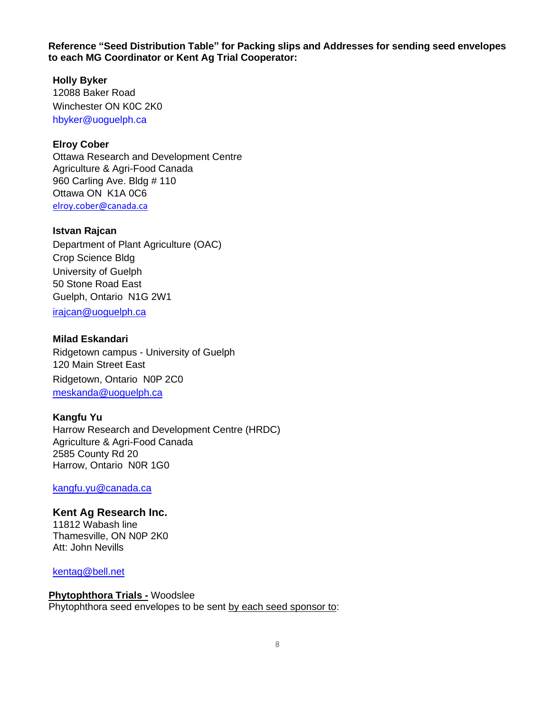**Reference "Seed Distribution Table" for Packing slips and Addresses for sending seed envelopes to each MG Coordinator or Kent Ag Trial Cooperator:** 

**Holly Byker** 12088 Baker Road Winchester ON K0C 2K0 hbyker@uoguelph.ca

### **Elroy Cober**

Ottawa Research and Development Centre Agriculture & Agri-Food Canada 960 Carling Ave. Bldg # 110 Ottawa ON K1A 0C6 [elroy.cober@canada.ca](mailto:elroy.cober@canada.ca)

### **Istvan Rajcan**

Department of Plant Agriculture (OAC) Crop Science Bldg University of Guelph 50 Stone Road East Guelph, Ontario N1G 2W1

irajcan@uoguelph.ca

### **Milad Eskandari**

Ridgetown campus - University of Guelph 120 Main Street East Ridgetown, Ontario N0P 2C0 meskanda@uoguelph.ca

#### **Kangfu Yu**

Harrow Research and Development Centre (HRDC) Agriculture & Agri-Food Canada 2585 County Rd 20 Harrow, Ontario N0R 1G0

[kangfu.yu@canada.ca](file:///C:/Users/COBERER/AppData/Local/Microsoft/Windows/INetCache/Content.Outlook/7K4MQR1W/kangfu.yu@canada.ca)

# **Kent Ag Research Inc.**

11812 Wabash line Thamesville, ON N0P 2K0 Att: John Nevills

[kentag@bell.net](mailto:kentag@bell.net)

#### **Phytophthora Trials -** Woodslee

Phytophthora seed envelopes to be sent by each seed sponsor to: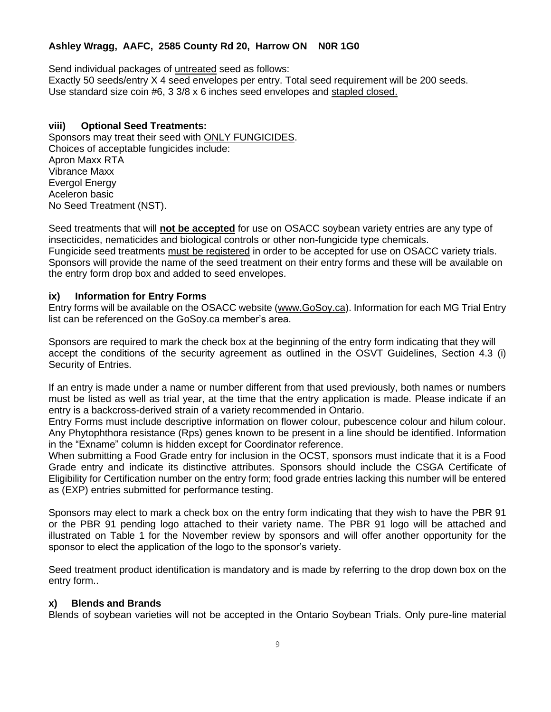# **Ashley Wragg, AAFC, 2585 County Rd 20, Harrow ON N0R 1G0**

Send individual packages of untreated seed as follows:

Exactly 50 seeds/entry X 4 seed envelopes per entry. Total seed requirement will be 200 seeds. Use standard size coin #6, 3 3/8 x 6 inches seed envelopes and stapled closed.

### **viii) Optional Seed Treatments:**

Sponsors may treat their seed with ONLY FUNGICIDES. Choices of acceptable fungicides include: Apron Maxx RTA Vibrance Maxx Evergol Energy Aceleron basic No Seed Treatment (NST).

Seed treatments that will **not be accepted** for use on OSACC soybean variety entries are any type of insecticides, nematicides and biological controls or other non-fungicide type chemicals. Fungicide seed treatments must be registered in order to be accepted for use on OSACC variety trials. Sponsors will provide the name of the seed treatment on their entry forms and these will be available on the entry form drop box and added to seed envelopes.

### **ix) Information for Entry Forms**

Entry forms will be available on the OSACC website [\(www.GoSoy.ca\)](http://www.gosoy.ca/). Information for each MG Trial Entry list can be referenced on the GoSoy.ca member's area.

Sponsors are required to mark the check box at the beginning of the entry form indicating that they will accept the conditions of the security agreement as outlined in the OSVT Guidelines, Section 4.3 (i) Security of Entries.

If an entry is made under a name or number different from that used previously, both names or numbers must be listed as well as trial year, at the time that the entry application is made. Please indicate if an entry is a backcross-derived strain of a variety recommended in Ontario.

Entry Forms must include descriptive information on flower colour, pubescence colour and hilum colour. Any Phytophthora resistance (Rps) genes known to be present in a line should be identified. Information in the "Exname" column is hidden except for Coordinator reference.

When submitting a Food Grade entry for inclusion in the OCST, sponsors must indicate that it is a Food Grade entry and indicate its distinctive attributes. Sponsors should include the CSGA Certificate of Eligibility for Certification number on the entry form; food grade entries lacking this number will be entered as (EXP) entries submitted for performance testing.

Sponsors may elect to mark a check box on the entry form indicating that they wish to have the PBR 91 or the PBR 91 pending logo attached to their variety name. The PBR 91 logo will be attached and illustrated on Table 1 for the November review by sponsors and will offer another opportunity for the sponsor to elect the application of the logo to the sponsor's variety.

Seed treatment product identification is mandatory and is made by referring to the drop down box on the entry form..

# **x) Blends and Brands**

Blends of soybean varieties will not be accepted in the Ontario Soybean Trials. Only pure-line material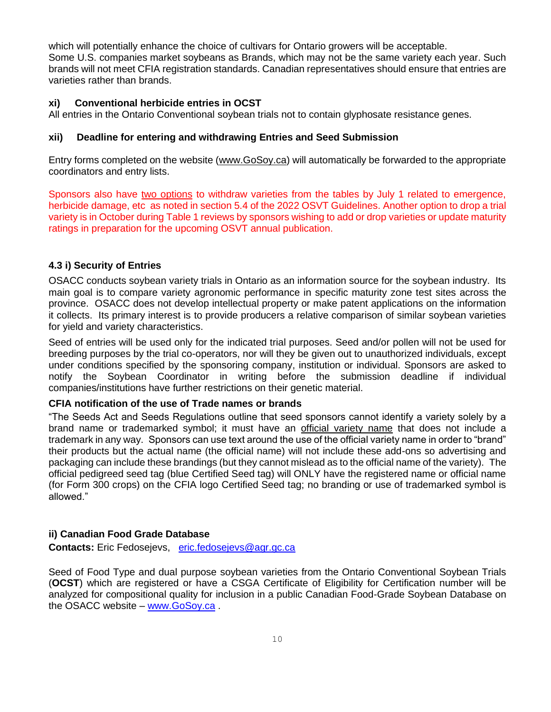which will potentially enhance the choice of cultivars for Ontario growers will be acceptable. Some U.S. companies market soybeans as Brands, which may not be the same variety each year. Such brands will not meet CFIA registration standards. Canadian representatives should ensure that entries are varieties rather than brands.

### **xi) Conventional herbicide entries in OCST**

All entries in the Ontario Conventional soybean trials not to contain glyphosate resistance genes.

### **xii) Deadline for entering and withdrawing Entries and Seed Submission**

Entry forms completed on the website [\(www.GoSoy.ca\)](http://www.gosoy.ca/) will automatically be forwarded to the appropriate coordinators and entry lists.

Sponsors also have two options to withdraw varieties from the tables by July 1 related to emergence, herbicide damage, etc as noted in section 5.4 of the 2022 OSVT Guidelines. Another option to drop a trial variety is in October during Table 1 reviews by sponsors wishing to add or drop varieties or update maturity ratings in preparation for the upcoming OSVT annual publication.

# **4.3 i) Security of Entries**

OSACC conducts soybean variety trials in Ontario as an information source for the soybean industry. Its main goal is to compare variety agronomic performance in specific maturity zone test sites across the province. OSACC does not develop intellectual property or make patent applications on the information it collects. Its primary interest is to provide producers a relative comparison of similar soybean varieties for yield and variety characteristics.

Seed of entries will be used only for the indicated trial purposes. Seed and/or pollen will not be used for breeding purposes by the trial co-operators, nor will they be given out to unauthorized individuals, except under conditions specified by the sponsoring company, institution or individual. Sponsors are asked to notify the Soybean Coordinator in writing before the submission deadline if individual companies/institutions have further restrictions on their genetic material.

### **CFIA notification of the use of Trade names or brands**

"The Seeds Act and Seeds Regulations outline that seed sponsors cannot identify a variety solely by a brand name or trademarked symbol; it must have an official variety name that does not include a trademark in any way. Sponsors can use text around the use of the official variety name in order to "brand" their products but the actual name (the official name) will not include these add-ons so advertising and packaging can include these brandings (but they cannot mislead as to the official name of the variety). The official pedigreed seed tag (blue Certified Seed tag) will ONLY have the registered name or official name (for Form 300 crops) on the CFIA logo Certified Seed tag; no branding or use of trademarked symbol is allowed."

# **ii) Canadian Food Grade Database**

**Contacts:** Eric Fedosejevs, [eric.fedosejevs@agr.gc.ca](mailto:eric.fedosejevs@agr.gc.ca)

Seed of Food Type and dual purpose soybean varieties from the Ontario Conventional Soybean Trials (**OCST**) which are registered or have a CSGA Certificate of Eligibility for Certification number will be analyzed for compositional quality for inclusion in a public Canadian Food-Grade Soybean Database on the OSACC website – [www.GoSoy.ca](http://www.gosoy.ca/) .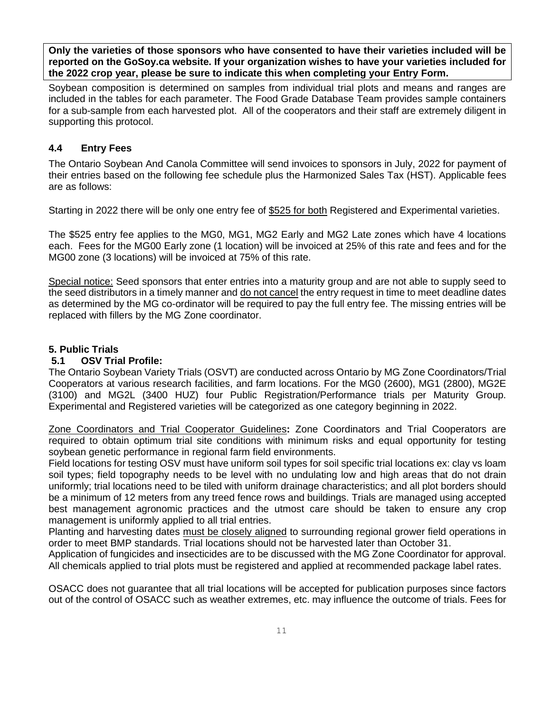**Only the varieties of those sponsors who have consented to have their varieties included will be reported on the GoSoy.ca website. If your organization wishes to have your varieties included for the 2022 crop year, please be sure to indicate this when completing your Entry Form.** 

Soybean composition is determined on samples from individual trial plots and means and ranges are included in the tables for each parameter. The Food Grade Database Team provides sample containers for a sub-sample from each harvested plot. All of the cooperators and their staff are extremely diligent in supporting this protocol.

# **4.4 Entry Fees**

The Ontario Soybean And Canola Committee will send invoices to sponsors in July, 2022 for payment of their entries based on the following fee schedule plus the Harmonized Sales Tax (HST). Applicable fees are as follows:

Starting in 2022 there will be only one entry fee of \$525 for both Registered and Experimental varieties.

The \$525 entry fee applies to the MG0, MG1, MG2 Early and MG2 Late zones which have 4 locations each. Fees for the MG00 Early zone (1 location) will be invoiced at 25% of this rate and fees and for the MG00 zone (3 locations) will be invoiced at 75% of this rate.

Special notice: Seed sponsors that enter entries into a maturity group and are not able to supply seed to the seed distributors in a timely manner and do not cancel the entry request in time to meet deadline dates as determined by the MG co-ordinator will be required to pay the full entry fee. The missing entries will be replaced with fillers by the MG Zone coordinator.

# **5. Public Trials**

# **5.1 OSV Trial Profile:**

The Ontario Soybean Variety Trials (OSVT) are conducted across Ontario by MG Zone Coordinators/Trial Cooperators at various research facilities, and farm locations. For the MG0 (2600), MG1 (2800), MG2E (3100) and MG2L (3400 HUZ) four Public Registration/Performance trials per Maturity Group. Experimental and Registered varieties will be categorized as one category beginning in 2022.

Zone Coordinators and Trial Cooperator Guidelines**:** Zone Coordinators and Trial Cooperators are required to obtain optimum trial site conditions with minimum risks and equal opportunity for testing soybean genetic performance in regional farm field environments.

Field locations for testing OSV must have uniform soil types for soil specific trial locations ex: clay vs loam soil types; field topography needs to be level with no undulating low and high areas that do not drain uniformly; trial locations need to be tiled with uniform drainage characteristics; and all plot borders should be a minimum of 12 meters from any treed fence rows and buildings. Trials are managed using accepted best management agronomic practices and the utmost care should be taken to ensure any crop management is uniformly applied to all trial entries.

Planting and harvesting dates must be closely aligned to surrounding regional grower field operations in order to meet BMP standards. Trial locations should not be harvested later than October 31.

Application of fungicides and insecticides are to be discussed with the MG Zone Coordinator for approval. All chemicals applied to trial plots must be registered and applied at recommended package label rates.

OSACC does not guarantee that all trial locations will be accepted for publication purposes since factors out of the control of OSACC such as weather extremes, etc. may influence the outcome of trials. Fees for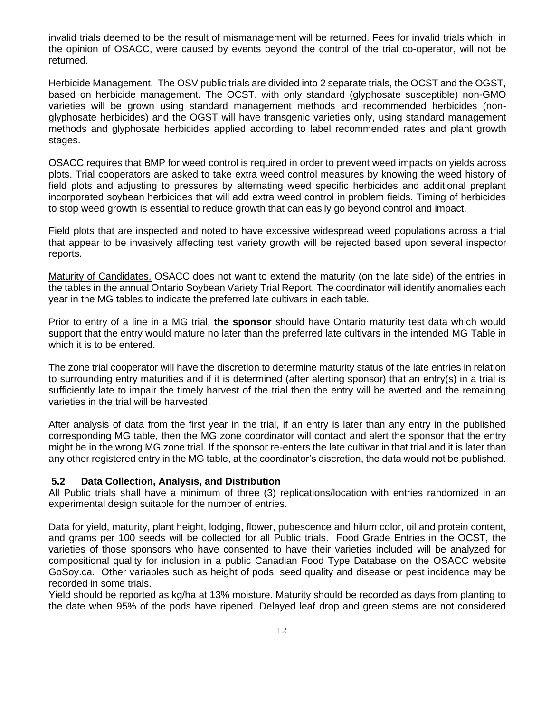invalid trials deemed to be the result of mismanagement will be returned. Fees for invalid trials which, in the opinion of OSACC, were caused by events beyond the control of the trial co-operator, will not be returned.

Herbicide Management. The OSV public trials are divided into 2 separate trials, the OCST and the OGST, based on herbicide management. The OCST, with only standard (glyphosate susceptible) non-GMO varieties will be grown using standard management methods and recommended herbicides (nonglyphosate herbicides) and the OGST will have transgenic varieties only, using standard management methods and glyphosate herbicides applied according to label recommended rates and plant growth stages.

OSACC requires that BMP for weed control is required in order to prevent weed impacts on yields across plots. Trial cooperators are asked to take extra weed control measures by knowing the weed history of field plots and adjusting to pressures by alternating weed specific herbicides and additional preplant incorporated soybean herbicides that will add extra weed control in problem fields. Timing of herbicides to stop weed growth is essential to reduce growth that can easily go beyond control and impact.

Field plots that are inspected and noted to have excessive widespread weed populations across a trial that appear to be invasively affecting test variety growth will be rejected based upon several inspector reports.

Maturity of Candidates. OSACC does not want to extend the maturity (on the late side) of the entries in the tables in the annual Ontario Soybean Variety Trial Report. The coordinator will identify anomalies each year in the MG tables to indicate the preferred late cultivars in each table.

Prior to entry of a line in a MG trial, **the sponsor** should have Ontario maturity test data which would support that the entry would mature no later than the preferred late cultivars in the intended MG Table in which it is to be entered.

The zone trial cooperator will have the discretion to determine maturity status of the late entries in relation to surrounding entry maturities and if it is determined (after alerting sponsor) that an entry(s) in a trial is sufficiently late to impair the timely harvest of the trial then the entry will be averted and the remaining varieties in the trial will be harvested.

After analysis of data from the first year in the trial, if an entry is later than any entry in the published corresponding MG table, then the MG zone coordinator will contact and alert the sponsor that the entry might be in the wrong MG zone trial. If the sponsor re-enters the late cultivar in that trial and it is later than any other registered entry in the MG table, at the coordinator's discretion, the data would not be published.

### **5.2 Data Collection, Analysis, and Distribution**

All Public trials shall have a minimum of three (3) replications/location with entries randomized in an experimental design suitable for the number of entries.

Data for yield, maturity, plant height, lodging, flower, pubescence and hilum color, oil and protein content, and grams per 100 seeds will be collected for all Public trials. Food Grade Entries in the OCST, the varieties of those sponsors who have consented to have their varieties included will be analyzed for compositional quality for inclusion in a public Canadian Food Type Database on the OSACC website GoSoy.ca. Other variables such as height of pods, seed quality and disease or pest incidence may be recorded in some trials.

Yield should be reported as kg/ha at 13% moisture. Maturity should be recorded as days from planting to the date when 95% of the pods have ripened. Delayed leaf drop and green stems are not considered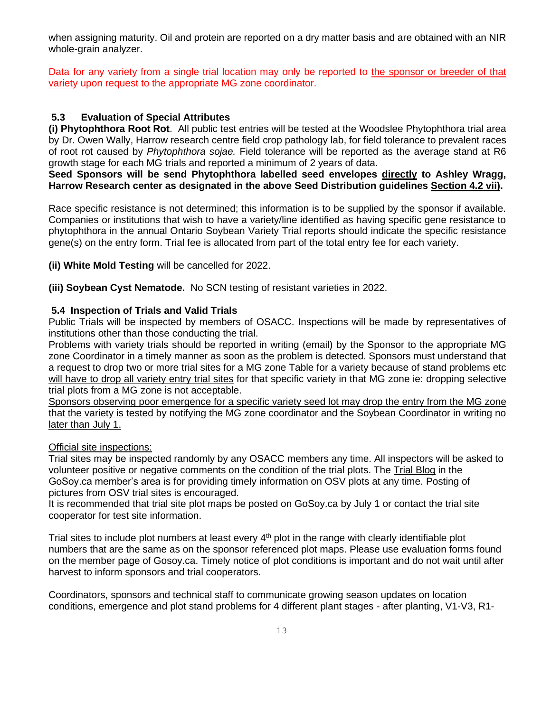when assigning maturity. Oil and protein are reported on a dry matter basis and are obtained with an NIR whole-grain analyzer.

Data for any variety from a single trial location may only be reported to the sponsor or breeder of that variety upon request to the appropriate MG zone coordinator.

# **5.3 Evaluation of Special Attributes**

**(i) Phytophthora Root Rot**. All public test entries will be tested at the Woodslee Phytophthora trial area by Dr. Owen Wally, Harrow research centre field crop pathology lab, for field tolerance to prevalent races of root rot caused by *Phytophthora sojae.* Field tolerance will be reported as the average stand at R6 growth stage for each MG trials and reported a minimum of 2 years of data.

**Seed Sponsors will be send Phytophthora labelled seed envelopes directly to Ashley Wragg, Harrow Research center as designated in the above Seed Distribution guidelines Section 4.2 vii).**

Race specific resistance is not determined; this information is to be supplied by the sponsor if available. Companies or institutions that wish to have a variety/line identified as having specific gene resistance to phytophthora in the annual Ontario Soybean Variety Trial reports should indicate the specific resistance gene(s) on the entry form. Trial fee is allocated from part of the total entry fee for each variety.

**(ii) White Mold Testing** will be cancelled for 2022.

**(iii) Soybean Cyst Nematode.** No SCN testing of resistant varieties in 2022.

### **5.4 Inspection of Trials and Valid Trials**

Public Trials will be inspected by members of OSACC. Inspections will be made by representatives of institutions other than those conducting the trial.

Problems with variety trials should be reported in writing (email) by the Sponsor to the appropriate MG zone Coordinator in a timely manner as soon as the problem is detected. Sponsors must understand that a request to drop two or more trial sites for a MG zone Table for a variety because of stand problems etc will have to drop all variety entry trial sites for that specific variety in that MG zone ie: dropping selective trial plots from a MG zone is not acceptable.

Sponsors observing poor emergence for a specific variety seed lot may drop the entry from the MG zone that the variety is tested by notifying the MG zone coordinator and the Soybean Coordinator in writing no later than July 1.

### Official site inspections:

Trial sites may be inspected randomly by any OSACC members any time. All inspectors will be asked to volunteer positive or negative comments on the condition of the trial plots. The Trial Blog in the GoSoy.ca member's area is for providing timely information on OSV plots at any time. Posting of pictures from OSV trial sites is encouraged.

It is recommended that trial site plot maps be posted on GoSoy.ca by July 1 or contact the trial site cooperator for test site information.

Trial sites to include plot numbers at least every  $4<sup>th</sup>$  plot in the range with clearly identifiable plot numbers that are the same as on the sponsor referenced plot maps. Please use evaluation forms found on the member page of Gosoy.ca. Timely notice of plot conditions is important and do not wait until after harvest to inform sponsors and trial cooperators.

Coordinators, sponsors and technical staff to communicate growing season updates on location conditions, emergence and plot stand problems for 4 different plant stages - after planting, V1-V3, R1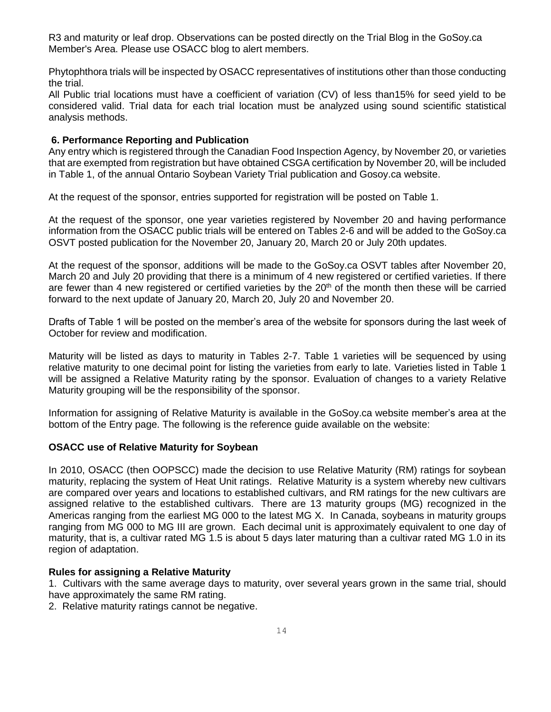R3 and maturity or leaf drop. Observations can be posted directly on the Trial Blog in the GoSoy.ca Member's Area. Please use OSACC blog to alert members.

Phytophthora trials will be inspected by OSACC representatives of institutions other than those conducting the trial.

All Public trial locations must have a coefficient of variation (CV) of less than15% for seed yield to be considered valid. Trial data for each trial location must be analyzed using sound scientific statistical analysis methods.

### **6. Performance Reporting and Publication**

Any entry which is registered through the Canadian Food Inspection Agency, by November 20, or varieties that are exempted from registration but have obtained CSGA certification by November 20, will be included in Table 1, of the annual Ontario Soybean Variety Trial publication and Gosoy.ca website.

At the request of the sponsor, entries supported for registration will be posted on Table 1.

At the request of the sponsor, one year varieties registered by November 20 and having performance information from the OSACC public trials will be entered on Tables 2-6 and will be added to the GoSoy.ca OSVT posted publication for the November 20, January 20, March 20 or July 20th updates.

At the request of the sponsor, additions will be made to the GoSoy.ca OSVT tables after November 20, March 20 and July 20 providing that there is a minimum of 4 new registered or certified varieties. If there are fewer than 4 new registered or certified varieties by the  $20<sup>th</sup>$  of the month then these will be carried forward to the next update of January 20, March 20, July 20 and November 20.

Drafts of Table 1 will be posted on the member's area of the website for sponsors during the last week of October for review and modification.

Maturity will be listed as days to maturity in Tables 2-7. Table 1 varieties will be sequenced by using relative maturity to one decimal point for listing the varieties from early to late. Varieties listed in Table 1 will be assigned a Relative Maturity rating by the sponsor. Evaluation of changes to a variety Relative Maturity grouping will be the responsibility of the sponsor.

Information for assigning of Relative Maturity is available in the GoSoy.ca website member's area at the bottom of the Entry page. The following is the reference guide available on the website:

#### **OSACC use of Relative Maturity for Soybean**

In 2010, OSACC (then OOPSCC) made the decision to use Relative Maturity (RM) ratings for soybean maturity, replacing the system of Heat Unit ratings. Relative Maturity is a system whereby new cultivars are compared over years and locations to established cultivars, and RM ratings for the new cultivars are assigned relative to the established cultivars. There are 13 maturity groups (MG) recognized in the Americas ranging from the earliest MG 000 to the latest MG X. In Canada, soybeans in maturity groups ranging from MG 000 to MG III are grown. Each decimal unit is approximately equivalent to one day of maturity, that is, a cultivar rated MG 1.5 is about 5 days later maturing than a cultivar rated MG 1.0 in its region of adaptation.

#### **Rules for assigning a Relative Maturity**

1. Cultivars with the same average days to maturity, over several years grown in the same trial, should have approximately the same RM rating.

2. Relative maturity ratings cannot be negative.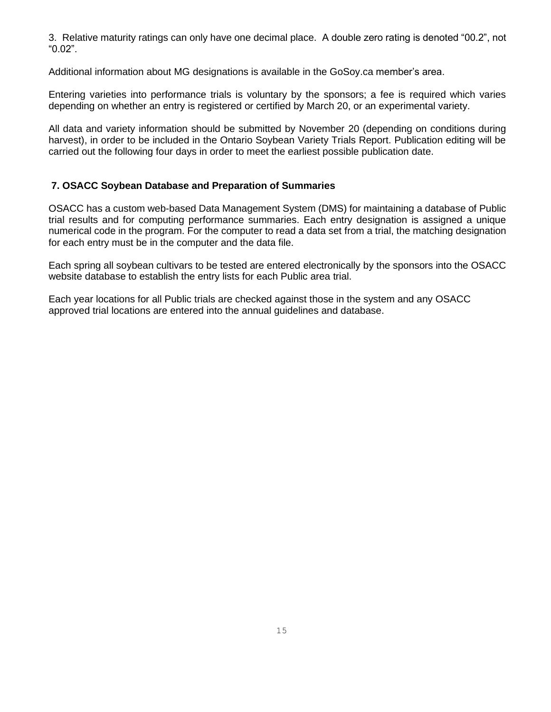3. Relative maturity ratings can only have one decimal place. A double zero rating is denoted "00.2", not "0.02".

Additional information about MG designations is available in the GoSoy.ca member's area.

Entering varieties into performance trials is voluntary by the sponsors; a fee is required which varies depending on whether an entry is registered or certified by March 20, or an experimental variety.

All data and variety information should be submitted by November 20 (depending on conditions during harvest), in order to be included in the Ontario Soybean Variety Trials Report. Publication editing will be carried out the following four days in order to meet the earliest possible publication date.

# **7. OSACC Soybean Database and Preparation of Summaries**

OSACC has a custom web-based Data Management System (DMS) for maintaining a database of Public trial results and for computing performance summaries. Each entry designation is assigned a unique numerical code in the program. For the computer to read a data set from a trial, the matching designation for each entry must be in the computer and the data file.

Each spring all soybean cultivars to be tested are entered electronically by the sponsors into the OSACC website database to establish the entry lists for each Public area trial.

Each year locations for all Public trials are checked against those in the system and any OSACC approved trial locations are entered into the annual guidelines and database.